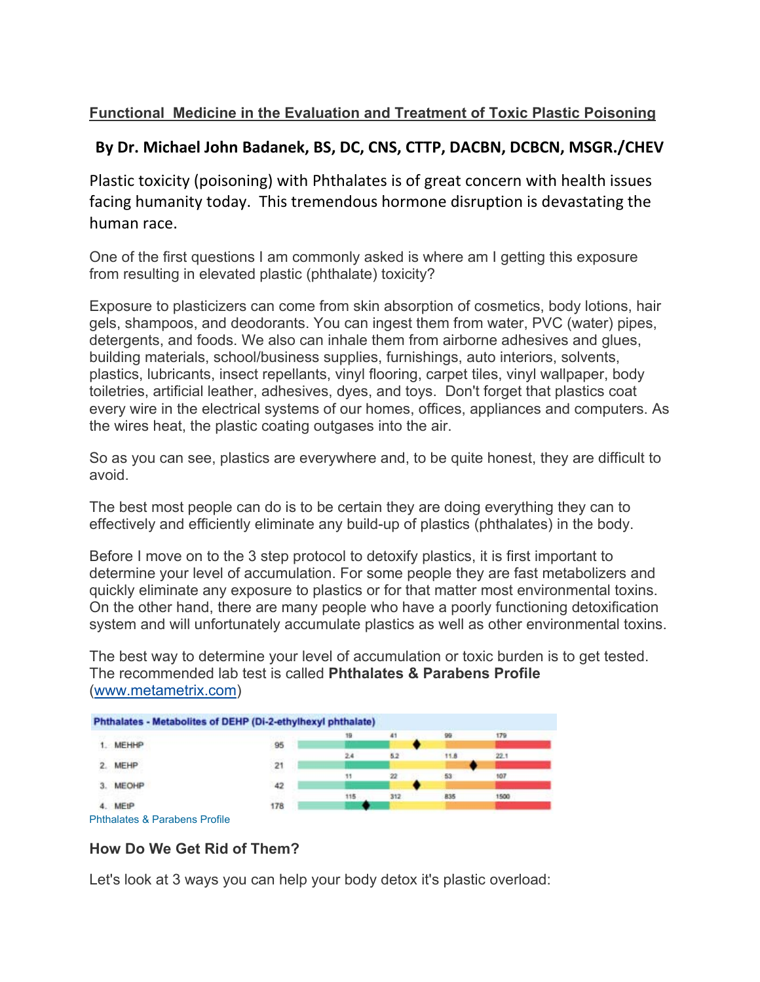## **Functional Medicine in the Evaluation and Treatment of Toxic Plastic Poisoning**

## **By Dr. Michael John Badanek, BS, DC, CNS, CTTP, DACBN, DCBCN, MSGR./CHEV**

Plastic toxicity (poisoning) with Phthalates is of great concern with health issues facing humanity today. This tremendous hormone disruption is devastating the human race.

One of the first questions I am commonly asked is where am I getting this exposure from resulting in elevated plastic (phthalate) toxicity?

Exposure to plasticizers can come from skin absorption of cosmetics, body lotions, hair gels, shampoos, and deodorants. You can ingest them from water, PVC (water) pipes, detergents, and foods. We also can inhale them from airborne adhesives and glues, building materials, school/business supplies, furnishings, auto interiors, solvents, plastics, lubricants, insect repellants, vinyl flooring, carpet tiles, vinyl wallpaper, body toiletries, artificial leather, adhesives, dyes, and toys. Don't forget that plastics coat every wire in the electrical systems of our homes, offices, appliances and computers. As the wires heat, the plastic coating outgases into the air.

So as you can see, plastics are everywhere and, to be quite honest, they are difficult to avoid.

The best most people can do is to be certain they are doing everything they can to effectively and efficiently eliminate any build-up of plastics (phthalates) in the body.

Before I move on to the 3 step protocol to detoxify plastics, it is first important to determine your level of accumulation. For some people they are fast metabolizers and quickly eliminate any exposure to plastics or for that matter most environmental toxins. On the other hand, there are many people who have a poorly functioning detoxification system and will unfortunately accumulate plastics as well as other environmental toxins.

The best way to determine your level of accumulation or toxic burden is to get tested. The recommended lab test is called **Phthalates & Parabens Profile** (www.metametrix.com)



## **How Do We Get Rid of Them?**

Let's look at 3 ways you can help your body detox it's plastic overload: